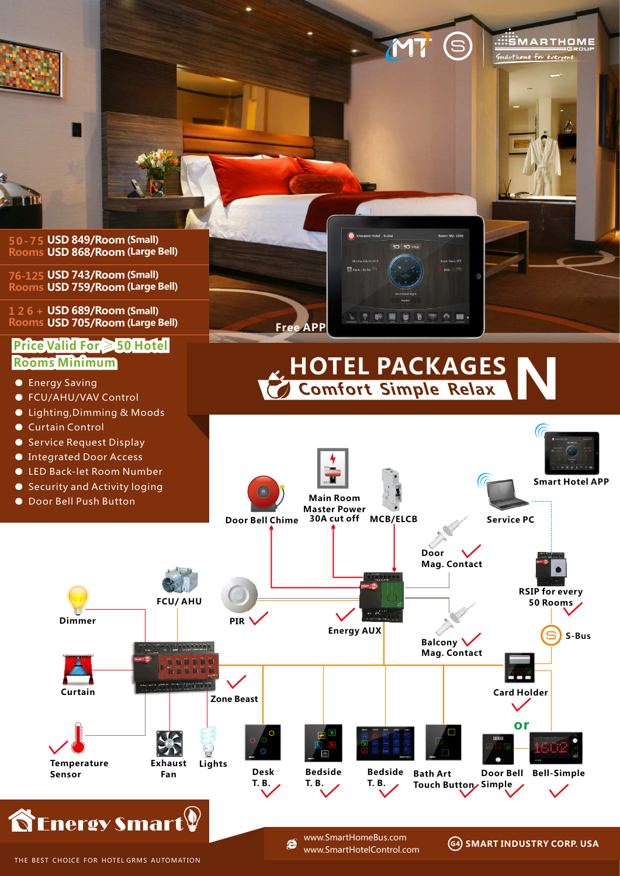

www.SmartHomeBus.com e www.SmartHotelControl.com

**SMART INDUSTRY CORP. USA**